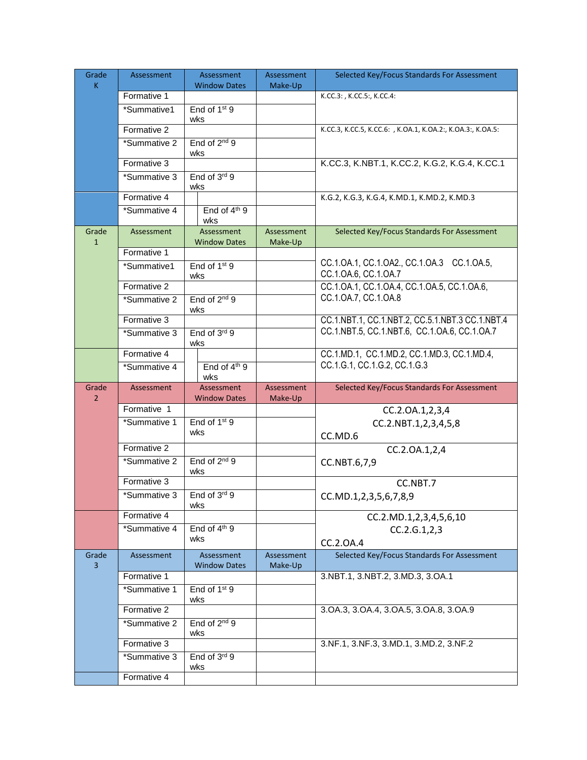| Grade          | Assessment   | Assessment                        | Assessment            | Selected Key/Focus Standards For Assessment                 |
|----------------|--------------|-----------------------------------|-----------------------|-------------------------------------------------------------|
| K              | Formative 1  | <b>Window Dates</b>               | Make-Up               | K.CC.3: , K.CC.5:, K.CC.4:                                  |
|                | *Summative1  | End of 1 <sup>st</sup> 9          |                       |                                                             |
|                |              | wks                               |                       |                                                             |
|                | Formative 2  |                                   |                       | K.CC.3, K.CC.5, K.CC.6: , K.OA.1, K.OA.2:, K.OA.3:, K.OA.5: |
|                | *Summative 2 | End of 2 <sup>nd</sup> 9<br>wks   |                       |                                                             |
|                | Formative 3  |                                   |                       | K.CC.3, K.NBT.1, K.CC.2, K.G.2, K.G.4, K.CC.1               |
|                | *Summative 3 | End of 3rd 9                      |                       |                                                             |
|                | Formative 4  | wks                               |                       | K.G.2, K.G.3, K.G.4, K.MD.1, K.MD.2, K.MD.3                 |
|                | *Summative 4 | End of 4 <sup>th</sup> 9<br>wks   |                       |                                                             |
| Grade          | Assessment   | <b>Assessment</b>                 | Assessment            | Selected Key/Focus Standards For Assessment                 |
| $\mathbf{1}$   |              | <b>Window Dates</b>               | Make-Up               |                                                             |
|                | Formative 1  |                                   |                       | CC.1.OA.1, CC.1.OA2., CC.1.OA.3 CC.1.OA.5,                  |
|                | *Summative1  | End of 1 <sup>st</sup> 9<br>wks   |                       | CC.1.0A.6, CC.1.0A.7                                        |
|                | Formative 2  |                                   |                       | CC.1.0A.1, CC.1.0A.4, CC.1.0A.5, CC.1.0A.6,                 |
|                | *Summative 2 | End of 2 <sup>nd</sup> 9<br>wks   |                       | CC.1.0A.7, CC.1.0A.8                                        |
|                | Formative 3  |                                   |                       | CC.1.NBT.1, CC.1.NBT.2, CC.5.1.NBT.3 CC.1.NBT.4             |
|                | *Summative 3 | End of $3rd 9$<br>wks             |                       | CC.1.NBT.5, CC.1.NBT.6, CC.1.OA.6, CC.1.OA.7                |
|                | Formative 4  |                                   |                       | CC.1.MD.1, CC.1.MD.2, CC.1.MD.3, CC.1.MD.4,                 |
|                | *Summative 4 | End of $4th$ 9<br>wks             |                       | CC.1.G.1, CC.1.G.2, CC.1.G.3                                |
| Grade          | Assessment   | Assessment                        | <b>Assessment</b>     | Selected Key/Focus Standards For Assessment                 |
| $\overline{2}$ |              | <b>Window Dates</b>               | Make-Up               |                                                             |
|                | Formative 1  | End of 1 <sup>st</sup> 9          |                       | CC.2.OA.1,2,3,4                                             |
|                | *Summative 1 |                                   |                       | CC.2.NBT.1,2,3,4,5,8                                        |
|                |              |                                   |                       |                                                             |
|                |              | wks                               |                       | CC.MD.6                                                     |
|                | Formative 2  |                                   |                       | CC.2.OA.1,2,4                                               |
|                | *Summative 2 | End of 2 <sup>nd</sup> 9<br>wks   |                       | CC.NBT.6,7,9                                                |
|                | Formative 3  |                                   |                       | CC.NBT.7                                                    |
|                | *Summative 3 | End of 3rd 9<br>wks               |                       | CC.MD.1,2,3,5,6,7,8,9                                       |
|                | Formative 4  |                                   |                       | CC.2.MD.1,2,3,4,5,6,10                                      |
|                | *Summative 4 | End of $4th9$                     |                       | CC.2.G.1,2,3                                                |
|                |              | wks                               |                       | CC.2.0A.4                                                   |
| Grade<br>3     | Assessment   | Assessment<br><b>Window Dates</b> | Assessment<br>Make-Up | Selected Key/Focus Standards For Assessment                 |
|                | Formative 1  |                                   |                       | 3.NBT.1, 3.NBT.2, 3.MD.3, 3.OA.1                            |
|                | *Summative 1 | End of 1 <sup>st</sup> 9<br>wks   |                       |                                                             |
|                | Formative 2  |                                   |                       | 3.0A.3, 3.0A.4, 3.0A.5, 3.0A.8, 3.0A.9                      |
|                | *Summative 2 | End of 2 <sup>nd</sup> 9          |                       |                                                             |
|                | Formative 3  | wks                               |                       | 3.NF.1, 3.NF.3, 3.MD.1, 3.MD.2, 3.NF.2                      |
|                | *Summative 3 | End of $3^{rd}$ 9<br>wks          |                       |                                                             |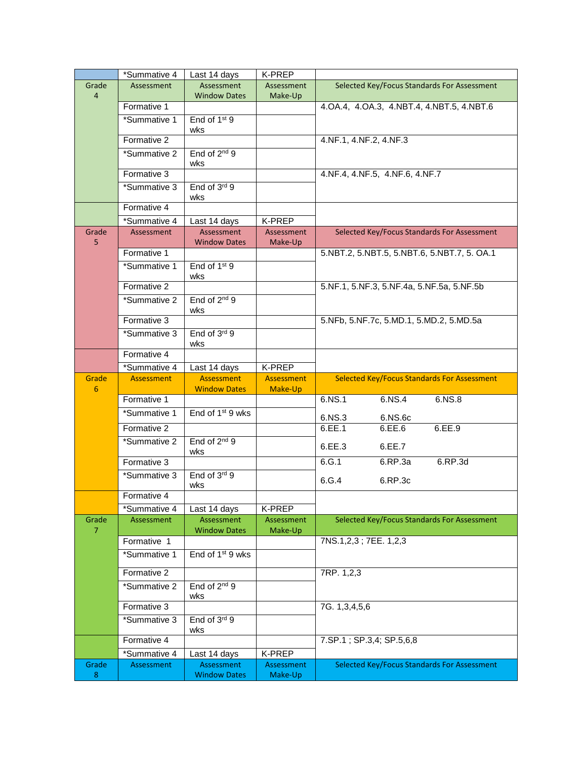|                | *Summative 4                | Last 14 days                             | K-PREP            |                                             |
|----------------|-----------------------------|------------------------------------------|-------------------|---------------------------------------------|
| Grade          | Assessment                  | Assessment                               | Assessment        | Selected Key/Focus Standards For Assessment |
| $\overline{4}$ |                             | <b>Window Dates</b>                      | Make-Up           |                                             |
|                | Formative 1                 |                                          |                   | 4.OA.4, 4.OA.3, 4.NBT.4, 4.NBT.5, 4.NBT.6   |
|                | *Summative 1                | End of 1 <sup>st</sup> 9<br>wks          |                   |                                             |
|                | Formative 2                 |                                          |                   | 4.NF.1, 4.NF.2, 4.NF.3                      |
|                | *Summative 2                | End of 2 <sup>nd</sup> 9<br>wks          |                   |                                             |
|                | Formative 3                 |                                          |                   | 4.NF.4, 4.NF.5, 4.NF.6, 4.NF.7              |
|                | *Summative 3                | End of 3rd 9                             |                   |                                             |
|                |                             | wks                                      |                   |                                             |
|                | Formative 4                 |                                          |                   |                                             |
|                | *Summative 4                | Last 14 days                             | K-PREP            |                                             |
| Grade          | Assessment                  | Assessment                               | <b>Assessment</b> | Selected Key/Focus Standards For Assessment |
| 5              | Formative 1                 | <b>Window Dates</b>                      | Make-Up           | 5.NBT.2, 5.NBT.5, 5.NBT.6, 5.NBT.7, 5. OA.1 |
|                | *Summative 1                | End of 1 <sup>st</sup> 9                 |                   |                                             |
|                |                             | wks                                      |                   |                                             |
|                | Formative 2                 |                                          |                   | 5.NF.1, 5.NF.3, 5.NF.4a, 5.NF.5a, 5.NF.5b   |
|                | *Summative 2                | End of 2 <sup>nd</sup> 9                 |                   |                                             |
|                |                             | wks                                      |                   |                                             |
|                | Formative 3                 |                                          |                   | 5.NFb, 5.NF.7c, 5.MD.1, 5.MD.2, 5.MD.5a     |
|                | *Summative 3                | End of 3rd 9<br>wks                      |                   |                                             |
|                | Formative 4                 |                                          |                   |                                             |
|                | *Summative 4                | Last 14 days                             | K-PREP            |                                             |
|                |                             |                                          |                   |                                             |
| Grade          | <b>Assessment</b>           | Assessment                               | <b>Assessment</b> | Selected Key/Focus Standards For Assessment |
| 6              |                             | <b>Window Dates</b>                      | Make-Up           |                                             |
|                | Formative 1<br>*Summative 1 | End of 1 <sup>st</sup> 9 wks             |                   | 6.NS.1<br>6.NS.4<br>6.NS.8                  |
|                |                             |                                          |                   | 6.NS.3<br>6.NS.6c                           |
|                | Formative 2                 |                                          |                   | 6.EE.1<br>6.EE.6<br>6.EE.9                  |
|                | *Summative 2                | End of 2 <sup>nd</sup> 9<br>wks          |                   | 6.EE.3<br>6.EE.7                            |
|                | Formative 3                 |                                          |                   | 6.G.1<br>6.RP.3d<br>6.RP.3a                 |
|                | *Summative 3                | End of 3rd 9<br>wks                      |                   | 6.G.4<br>6.RP.3c                            |
|                | Formative 4                 |                                          |                   |                                             |
|                | *Summative 4                | Last 14 days                             | K-PREP            |                                             |
| Grade          | Assessment                  | <b>Assessment</b>                        | Assessment        | Selected Key/Focus Standards For Assessment |
| 7              |                             | <b>Window Dates</b>                      | Make-Up           |                                             |
|                | Formative 1                 |                                          |                   | 7NS.1,2,3; 7EE. 1,2,3                       |
|                | *Summative 1                | End of 1 <sup>st</sup> 9 wks             |                   |                                             |
|                | Formative 2                 |                                          |                   | 7RP. 1,2,3                                  |
|                | *Summative 2                | End of 2 <sup>nd</sup> 9                 |                   |                                             |
|                |                             | wks                                      |                   |                                             |
|                | Formative 3                 |                                          |                   | 7G. 1,3,4,5,6                               |
|                | *Summative 3                | End of 3rd 9<br>wks                      |                   |                                             |
|                | Formative 4                 |                                          |                   | 7.SP.1; SP.3,4; SP.5,6,8                    |
|                | *Summative 4                | Last 14 days                             | K-PREP            |                                             |
| Grade          | Assessment                  | <b>Assessment</b><br><b>Window Dates</b> | Assessment        | Selected Key/Focus Standards For Assessment |